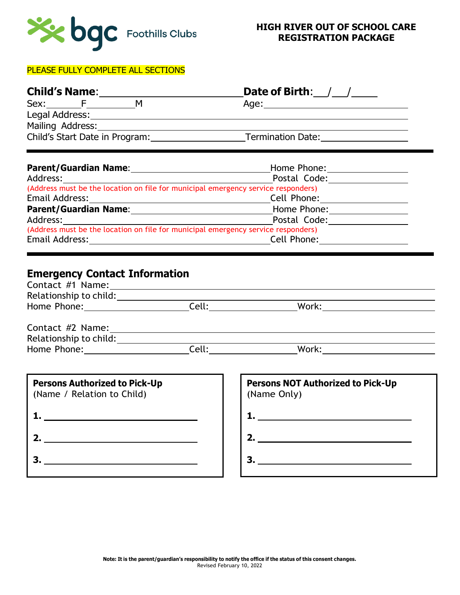

#### PLEASE FULLY COMPLETE ALL SECTIONS

| <b>Child's Name:</b> |  |                                   | Date of Birth: / /                         |  |  |
|----------------------|--|-----------------------------------|--------------------------------------------|--|--|
|                      |  | м                                 | Age:_________________________              |  |  |
|                      |  | Legal Address: National Address:  |                                            |  |  |
|                      |  | Mailing Address: Mailing Address: |                                            |  |  |
|                      |  | Child's Start Date in Program:    | <b>Termination Date:</b> Termination Date: |  |  |

| <b>Parent/Guardian Name:</b>                                                      | Home Phone:  |  |
|-----------------------------------------------------------------------------------|--------------|--|
| Address:                                                                          | Postal Code: |  |
| (Address must be the location on file for municipal emergency service responders) |              |  |
| Email Address:                                                                    | Cell Phone:  |  |
| <b>Parent/Guardian Name:</b>                                                      | Home Phone:  |  |
| Address:                                                                          | Postal Code: |  |
| (Address must be the location on file for municipal emergency service responders) |              |  |
| Email Address:                                                                    | Cell Phone:  |  |

# **Emergency Contact Information**

| Contact #1 Name:       |       |       |  |
|------------------------|-------|-------|--|
| Relationship to child: |       |       |  |
| Home Phone:            | Cell: | Work: |  |
|                        |       |       |  |

| Contact #2 Name:       |       |       |  |
|------------------------|-------|-------|--|
| Relationship to child: |       |       |  |
| Home Phone:            | Cell: | Work: |  |

| <b>Persons Authorized to Pick-Up</b><br>(Name / Relation to Child) |  |
|--------------------------------------------------------------------|--|
|                                                                    |  |
|                                                                    |  |
|                                                                    |  |

| <b>Persons NOT Authorized to Pick-Up</b><br>(Name Only) |  |  |
|---------------------------------------------------------|--|--|
|                                                         |  |  |
| 2.                                                      |  |  |
|                                                         |  |  |
|                                                         |  |  |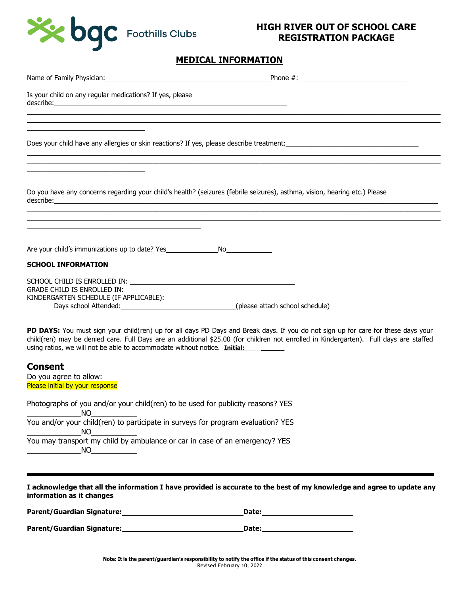

## **MEDICAL INFORMATION**

| Name of Family Physician: Name of Family Physician:<br>Phone $\#$ :                                                                                                                                                                                                                                                                                                |
|--------------------------------------------------------------------------------------------------------------------------------------------------------------------------------------------------------------------------------------------------------------------------------------------------------------------------------------------------------------------|
| Is your child on any regular medications? If yes, please                                                                                                                                                                                                                                                                                                           |
|                                                                                                                                                                                                                                                                                                                                                                    |
|                                                                                                                                                                                                                                                                                                                                                                    |
|                                                                                                                                                                                                                                                                                                                                                                    |
| Do you have any concerns regarding your child's health? (seizures (febrile seizures), asthma, vision, hearing etc.) Please<br>describe: <u>www.community.com and a series of the series of the series of the series of the series of the series of the series of the series of the series of the series of the series of the series of the series of the serie</u> |
|                                                                                                                                                                                                                                                                                                                                                                    |
| Are your child's immunizations up to date? Yes _________________________________                                                                                                                                                                                                                                                                                   |
| <b>SCHOOL INFORMATION</b>                                                                                                                                                                                                                                                                                                                                          |
| GRADE CHILD IS ENROLLED IN: _______<br>KINDERGARTEN SCHEDULE (IF APPLICABLE):                                                                                                                                                                                                                                                                                      |
| PD DAYS: You must sign your child(ren) up for all days PD Days and Break days. If you do not sign up for care for these days your<br>child(ren) may be denied care. Full Days are an additional \$25.00 (for children not enrolled in Kindergarten). Full days are staffed<br>using ratios, we will not be able to accommodate without notice. Initial:            |
| <b>Consent</b><br>Do you agree to allow:<br>Please initial by your response                                                                                                                                                                                                                                                                                        |
| Photographs of you and/or your child(ren) to be used for publicity reasons? YES<br>NO.                                                                                                                                                                                                                                                                             |
| You and/or your child(ren) to participate in surveys for program evaluation? YES<br><b>NO</b>                                                                                                                                                                                                                                                                      |
| You may transport my child by ambulance or car in case of an emergency? YES<br><b>NO</b>                                                                                                                                                                                                                                                                           |
|                                                                                                                                                                                                                                                                                                                                                                    |

**I acknowledge that all the information I have provided is accurate to the best of my knowledge and agree to update any information as it changes**

| Parent/Guardian Signature: | <b>Date:</b> |
|----------------------------|--------------|
| Parent/Guardian Signature: | Date:        |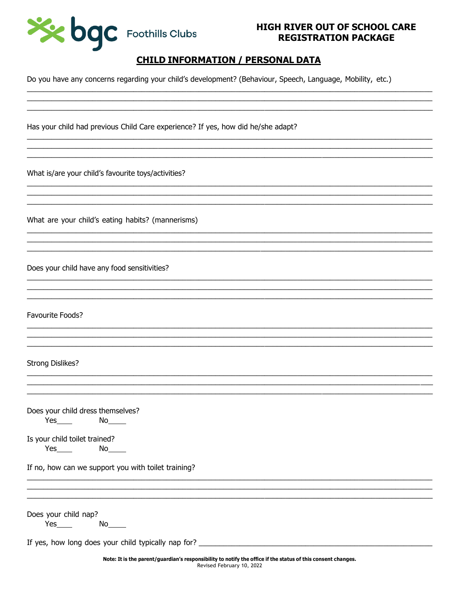

## **CHILD INFORMATION / PERSONAL DATA**

Do you have any concerns regarding your child's development? (Behaviour, Speech, Language, Mobility, etc.)

Has your child had previous Child Care experience? If yes, how did he/she adapt?

What is/are your child's favourite toys/activities?

What are your child's eating habits? (mannerisms)

Does your child have any food sensitivities?

Favourite Foods?

**Strong Dislikes?** 

Does your child dress themselves?  $Yes$  No  $No$ 

Is your child toilet trained?

 $Yes$  and  $X$ 

If no, how can we support you with toilet training?

Does your child nap?

 $Yes$  No  $No$ 

If yes, how long does your child typically nap for? \_\_\_\_\_\_\_\_\_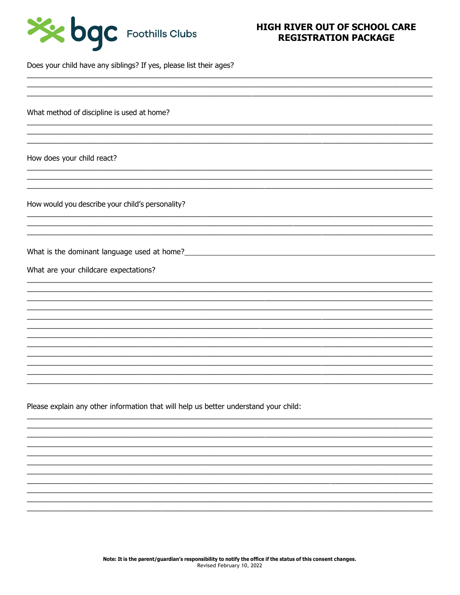

Does your child have any siblings? If yes, please list their ages?

What method of discipline is used at home?

How does your child react?

How would you describe your child's personality?

What is the dominant language used at home?<br><u>Nonellandon</u>

What are your childcare expectations?

Please explain any other information that will help us better understand your child: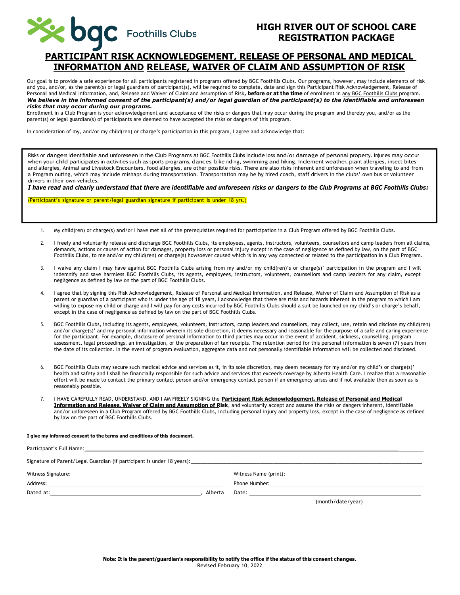

## **PARTICIPANT RISK ACKNOWLEDGEMENT, RELEASE OF PERSONAL AND MEDICAL INFORMATION AND RELEASE, WAIVER OF CLAIM AND ASSUMPTION OF RISK**

Our goal is to provide a safe experience for all participants registered in programs offered by BGC Foothills Clubs. Our programs, however, may include elements of risk and you, and/or, as the parent(s) or legal guardians of participant(s), will be required to complete, date and sign this Participant Risk Acknowledgement, Release of Personal and Medical Information, and, Release and Waiver of Claim and Assumption of Risk**, before or at the time** of enrolment in any BGC Foothills Clubs program. *We believe in the informed consent of the participant(s) and/or legal guardian of the participant(s) to the identifiable and unforeseen risks that may occur during our programs.*

Enrollment in a Club Program is your acknowledgement and acceptance of the risks or dangers that may occur during the program and thereby you, and/or as the parent(s) or legal guardian(s) of participants are deemed to have accepted the risks or dangers of this program.

In consideration of my, and/or my child(ren) or charge's participation in this program, I agree and acknowledge that:

Risks or dangers identifiable and unforeseen in the Club Programs at BGC Foothills Clubs include loss and/or damage of personal property. Injuries may occur when your child participates in activities such as sports programs, dances, bike riding, swimming and hiking. Inclement weather, plant allergies, insect bites and allergies, Animal and Livestock Encounters, food allergies, are other possible risks. There are also risks inherent and unforeseen when traveling to and from a Program outing, which may include mishaps during transportation. Transportation may be by hired coach, staff drivers in the clubs' own bus or volunteer drivers in their own vehicles.

*I have read and clearly understand that there are identifiable and unforeseen risks or dangers to the Club Programs at BGC Foothills Clubs:*

(Participant's signature or parent/legal guardian signature if participant is under 18 yrs.)

- 1. My child(ren) or charge(s) and/or I have met all of the prerequisites required for participation in a Club Program offered by BGC Foothills Clubs.
- 2. I freely and voluntarily release and discharge BGC Foothills Clubs, its employees, agents, instructors, volunteers, counsellors and camp leaders from all claims, demands, actions or causes of action for damages, property loss or personal injury except in the case of negligence as defined by law, on the part of BGC Foothills Clubs, to me and/or my child(ren) or charge(s) howsoever caused which is in any way connected or related to the participation in a Club Program.
- 3. I waive any claim I may have against BGC Foothills Clubs arising from my and/or my child(ren)'s or charge(s)' participation in the program and I will indemnify and save harmless BGC Foothills Clubs, its agents, employees, instructors, volunteers, counsellors and camp leaders for any claim, except negligence as defined by law on the part of BGC Foothills Clubs.
- 4. I agree that by signing this Risk Acknowledgement, Release of Personal and Medical Information, and Release, Waiver of Claim and Assumption of Risk as a parent or guardian of a participant who is under the age of 18 years, I acknowledge that there are risks and hazards inherent in the program to which I am willing to expose my child or charge and I will pay for any costs incurred by BGC Foothills Clubs should a suit be launched on my child's or charge's behalf, except in the case of negligence as defined by law on the part of BGC Foothills Clubs.
- 5. BGC Foothills Clubs, including its agents, employees, volunteers, instructors, camp leaders and counsellors, may collect, use, retain and disclose my child(ren) and/or charge(s)' and my personal information wherein its sole discretion, it deems necessary and reasonable for the purpose of a safe and caring experience for the participant. For example, disclosure of personal information to third parties may occur in the event of accident, sickness, counselling, program assessment, legal proceedings, an investigation, or the preparation of tax receipts. The retention period for this personal information is seven (7) years from the date of its collection. In the event of program evaluation, aggregate data and not personally identifiable information will be collected and disclosed.
- 6. BGC Foothills Clubs may secure such medical advice and services as it, in its sole discretion, may deem necessary for my and/or my child's or charge(s)' health and safety and I shall be financially responsible for such advice and services that exceeds coverage by Alberta Health Care. I realize that a reasonable effort will be made to contact the primary contact person and/or emergency contact person if an emergency arises and if not available then as soon as is reasonably possible.
- 7. I HAVE CAREFULLY READ, UNDERSTAND, AND I AM FREELY SIGNING the **Participant Risk Acknowledgement, Release of Personal and Medical Information and Release, Waiver of Claim and Assumption of Risk**, and voluntarily accept and assume the risks or dangers inherent, identifiable and/or unforeseen in a Club Program offered by BGC Foothills Clubs, including personal injury and property loss, except in the case of negligence as defined by law on the part of BGC Foothills Clubs.

#### **I give my informed consent to the terms and conditions of this document.**

| Signature of Parent/Legal Guardian (if participant is under 18 years):<br>Signature of Parent/Legal Guardian (if participant is under 18 years):                                                                               |                                                                                                                                                                                                                                |
|--------------------------------------------------------------------------------------------------------------------------------------------------------------------------------------------------------------------------------|--------------------------------------------------------------------------------------------------------------------------------------------------------------------------------------------------------------------------------|
| Witness Signature: National Accounts and Accounts and Accounts and Accounts and Accounts and Accounts and Accounts and Accounts and Accounts and Accounts and Accounts and Accounts and Accounts and Accounts and Accounts and | Witness Name (print): Note that the state of the state of the state of the state of the state of the state of the state of the state of the state of the state of the state of the state of the state of the state of the stat |
| Address: No. 2014 - Address: No. 2014 - Address: No. 2014 - Address: No. 2014 - Address: No. 2014 - Address: No. 2014 - Address: No. 2014 - Address: No. 2014 - Address: No. 2014 - Address: No. 2014 - Address: No. 2014 - Ad |                                                                                                                                                                                                                                |
| Dated at:<br>Alberta                                                                                                                                                                                                           |                                                                                                                                                                                                                                |
|                                                                                                                                                                                                                                | (month/date/year)                                                                                                                                                                                                              |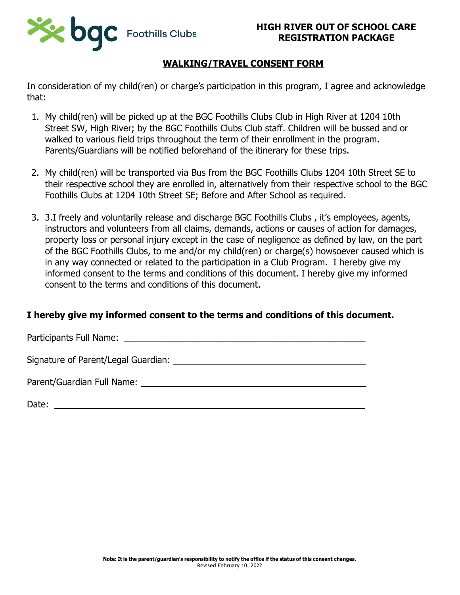

## **WALKING/TRAVEL CONSENT FORM**

In consideration of my child(ren) or charge's participation in this program, I agree and acknowledge that:

- 1. My child(ren) will be picked up at the BGC Foothills Clubs Club in High River at 1204 10th Street SW, High River; by the BGC Foothills Clubs Club staff. Children will be bussed and or walked to various field trips throughout the term of their enrollment in the program. Parents/Guardians will be notified beforehand of the itinerary for these trips.
- 2. My child(ren) will be transported via Bus from the BGC Foothills Clubs 1204 10th Street SE to their respective school they are enrolled in, alternatively from their respective school to the BGC Foothills Clubs at 1204 10th Street SE; Before and After School as required.
- 3. 3.I freely and voluntarily release and discharge BGC Foothills Clubs , it's employees, agents, instructors and volunteers from all claims, demands, actions or causes of action for damages, property loss or personal injury except in the case of negligence as defined by law, on the part of the BGC Foothills Clubs, to me and/or my child(ren) or charge(s) howsoever caused which is in any way connected or related to the participation in a Club Program. I hereby give my informed consent to the terms and conditions of this document. I hereby give my informed consent to the terms and conditions of this document.

## **I hereby give my informed consent to the terms and conditions of this document.**

Participants Full Name: \_\_\_\_\_\_\_\_\_\_\_\_\_\_\_\_\_\_\_\_\_\_\_\_\_\_\_\_\_\_\_\_\_\_\_\_\_\_\_\_\_\_\_\_\_\_\_\_\_

Signature of Parent/Legal Guardian:

Parent/Guardian Full Name:

Date: when the contract of the contract of the contract of the contract of the contract of the contract of the contract of the contract of the contract of the contract of the contract of the contract of the contract of the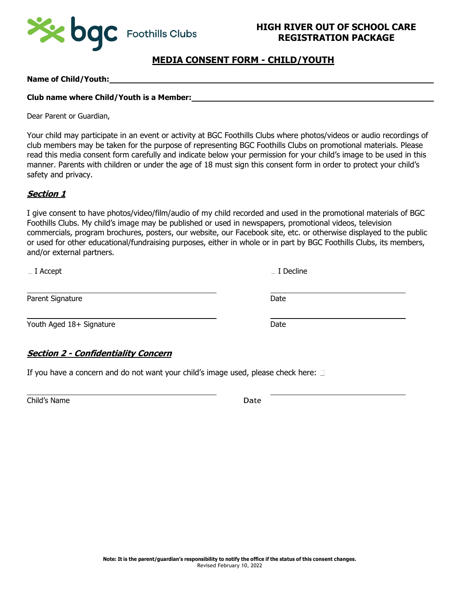

## **MEDIA CONSENT FORM - CHILD/YOUTH**

#### **Name of Child/Youth:**

#### **Club name where Child/Youth is a Member:**

Dear Parent or Guardian,

Your child may participate in an event or activity at BGC Foothills Clubs where photos/videos or audio recordings of club members may be taken for the purpose of representing BGC Foothills Clubs on promotional materials. Please read this media consent form carefully and indicate below your permission for your child's image to be used in this manner. Parents with children or under the age of 18 must sign this consent form in order to protect your child's safety and privacy.

#### **Section 1**

I give consent to have photos/video/film/audio of my child recorded and used in the promotional materials of BGC Foothills Clubs. My child's image may be published or used in newspapers, promotional videos, television commercials, program brochures, posters, our website, our Facebook site, etc. or otherwise displayed to the public or used for other educational/fundraising purposes, either in whole or in part by BGC Foothills Clubs, its members, and/or external partners.

**I** Accept **I** Decline

Parent Signature Date Date Date

Youth Aged 18+ Signature Date

#### **Section 2 - Confidentiality Concern**

If you have a concern and do not want your child's image used, please check here:  $\Box$ 

Child's Name Date Date Date Date